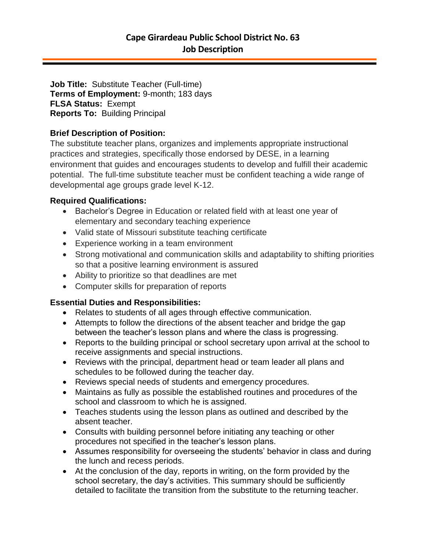**Job Title:** Substitute Teacher (Full-time) **Terms of Employment:** 9-month; 183 days **FLSA Status:** Exempt **Reports To:** Building Principal

## **Brief Description of Position:**

The substitute teacher plans, organizes and implements appropriate instructional practices and strategies, specifically those endorsed by DESE, in a learning environment that guides and encourages students to develop and fulfill their academic potential. The full-time substitute teacher must be confident teaching a wide range of developmental age groups grade level K-12.

### **Required Qualifications:**

- Bachelor's Degree in Education or related field with at least one year of elementary and secondary teaching experience
- Valid state of Missouri substitute teaching certificate
- Experience working in a team environment
- Strong motivational and communication skills and adaptability to shifting priorities so that a positive learning environment is assured
- Ability to prioritize so that deadlines are met
- Computer skills for preparation of reports

# **Essential Duties and Responsibilities:**

- Relates to students of all ages through effective communication.
- Attempts to follow the directions of the absent teacher and bridge the gap between the teacher's lesson plans and where the class is progressing.
- Reports to the building principal or school secretary upon arrival at the school to receive assignments and special instructions.
- Reviews with the principal, department head or team leader all plans and schedules to be followed during the teacher day.
- Reviews special needs of students and emergency procedures.
- Maintains as fully as possible the established routines and procedures of the school and classroom to which he is assigned.
- Teaches students using the lesson plans as outlined and described by the absent teacher.
- Consults with building personnel before initiating any teaching or other procedures not specified in the teacher's lesson plans.
- Assumes responsibility for overseeing the students' behavior in class and during the lunch and recess periods.
- At the conclusion of the day, reports in writing, on the form provided by the school secretary, the day's activities. This summary should be sufficiently detailed to facilitate the transition from the substitute to the returning teacher.